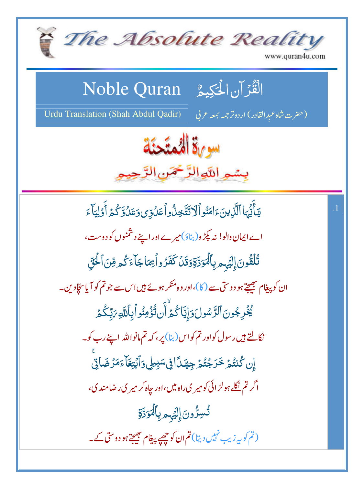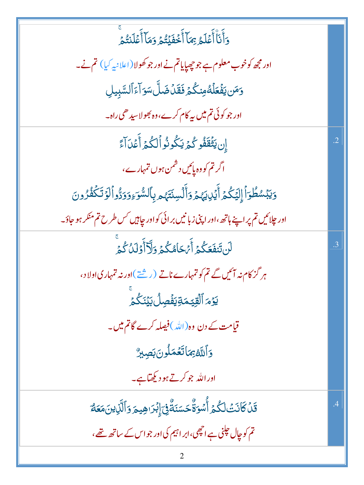| .<br>وَأَنَاْأَعۡلَمُ بِمَاۤأَخۡفَيۡتُمۡ وَمَاۤأَعۡلَنتُمۡ                                     |                 |
|------------------------------------------------------------------------------------------------|-----------------|
| اور مجھ کوخوب معلوم ہے جو چھپایاتم نے اور جو کھولا(اعلانیہ کیا) تم نے۔                         |                 |
| <u>و</u> َمَن يَفۡعَلۡهُ مِنكُمۡ فَقَلۡ ضَلَّ سَوَ آءَ ٱلسَّبِيلِ                              |                 |
| اور جو کوئی تم میں پہ کام کرے،وہ بھولاسیدھی راہ۔                                               |                 |
| إِن يَثْقَفُو كُمُ يَكُونُواْلِكُمُ أَعْدَآءً                                                  | $\overline{.2}$ |
| اگر تم کووہ پائیں دشمن ہوں تمہارے،                                                             |                 |
| وَيَبۡسُطُوٓٲٞٳ۪لِيَكُمۡۚ أَيۡلِايَهُمۡ وَأَلۡسِنَتَهُمۡ بِٱلسُّوَءِوَوَدُّواۡكَوۡ تَكۡفُرُونَ |                 |
| اور جلائیں تم پر اپنے ہاتھ،اور اپنی زبانیں برائی کواور جاہیں <sup>کس</sup> طرح تم منکر ہو جاؤ۔ |                 |
| ڶڹؾؘڣ <i>ؘ</i> ۼػ۠ػڔٞٲؘؽڂٲۿػ۠ػڔۊؘڷۣۜٲٲ۫ۏؘڶۮؙػ۠ػ                                                | .3              |
| ہر گز کام نہ ائیں گے تم کو تمہارے ناتے (رشتے)اور نہ تمہاری اولاد،                              |                 |
| <u>ي</u> َوۡمَ ٱلۡقِيَّـمَةِيَفۡصِلُ بَيۡنَـۡكُمۡ                                              |                 |
| قیامت کے دن وہ(اللہ)فیصلہ کرے گاتم میں۔                                                        |                 |
| وَٱللَّهُ بِمَاتَعۡمَلُونَ بَصِبِرٌ                                                            |                 |
| اوراللہ جوکرتے ہو دیکھتاہے۔                                                                    |                 |
| قَلۡ كَانَتۡ لَكُمۡ أَٰسُوَةٌۢ حَسَنَةٌۢ فِىٓ إِبۡرَاهِيمَ وَٱلَّٰٓذِينَمَعَهُ                 | $\cdot$         |
| تم کو چال جلنی ہے انچھی،ابر اہیم کی اور جو اس کے ساتھ تھے،                                     |                 |
|                                                                                                |                 |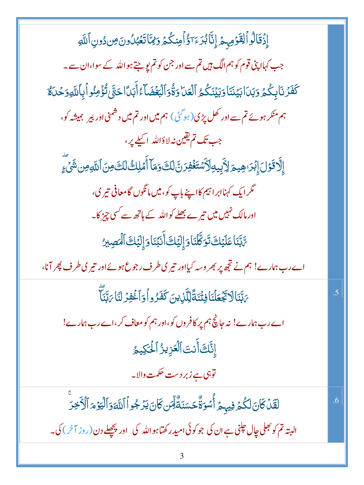| إِذۡقَالُواۡلِقَوۡمِہِمۡ إِنَّاۡبُرَ ءَآؤُاۡمِنكُمۡ وَيُتَاتَعۡبُٰلُونَ مِن دُونِ ٱللَّهِ                                    |    |
|------------------------------------------------------------------------------------------------------------------------------|----|
| جب کہاا پنی قوم کو ہم الگ ہیں تم سے اور جن کو تم پو جتے ہو اللہ کے سوا،ان سے۔                                                |    |
| كَفَرُنَا بِكُمْ وَبَدَا بَيْنَنَا وَبَيْنَكُمُ ٱلْعَدَا وَةُوَٱلْبَغُضَاءُ أَبَدَّا حَتَّىٰ تُؤْمِنُو أَبِأَلتَهِ وَحُدَلَة |    |
| ہم منکر ہوئے تم سے اور کھل پڑی(ہوگئی) ہم میں اور تم میں دشمنی اور پَیر ہمیشہ کو،                                             |    |
| جب تک تم یقین نہ لاؤاللہ اکیلے پر،                                                                                           |    |
| إِلَّا قَوْلَ إِبْرَاهِيمَ لِأَبِيهِ لَأَسْتَغْفِرَنَّ لَكَ وَمَا أَمْلِكُ لَكَ مِنَ ٱللَّهِ مِن شَيْءٍ                      |    |
| گر ایک کہناابر اتہم کااپنے باپ کو، میں مانگوں گامعافی تیر ک،                                                                 |    |
| اور مالک نہیں میں تی <sub>رے ب</sub> ھلے کو اللہ کے ہاتھ سے <sup>کس</sup> ی چیز کا۔                                          |    |
| ۥٮَّبَّنَا عَلَيۡكَ تَوَكَّلۡنَاوَإِلَيۡكَ أَنۡبُنَاوَإِلَيۡكَ ٱلۡمَصِيرُ                                                    |    |
| اے رب ہمارے! ہم نے تجھ پر بھر وسہ کیااور تیر کی طرف رجوع ہوئے اور تیر کی طرف پھر آنا،                                        |    |
| <i>؆ڹ</i> ۜۧڹؘٲڵٲڲؘۼڶۘڹٙٲڣٮۘ۠ڹؘڐؐڵٟڵڷۯؚؠڹؘػڡ <i>ؘٞۮ</i> ٛۄٲۏٲۼ۫ٛڣۯڶڹٙٲ؆ڹۜڹؘؖٲؖ                                               | .5 |
| اے رب ہمارے! نہ جانچ ہم پر کافر وں کو،اور ہم کو معاف کر،اے رب ہمارے!                                                         |    |
| إِنَّكَ أَنتَ ٱلْعَزِيزُ ٱلْحَكِيمُ                                                                                          |    |
| توہی ہے زبر دست حکمت والا۔                                                                                                   |    |
| لَقَّلۡ كَانَ لَكُمۡ فِيہِمۡ أُسۡوَقَّٰ حَسَنَةٌ لِِّسَ كَانَ يَرۡ جُواۡ ٱللَّٰٓ وَٱلۡ يَٰٓ وَٱلۡ خِرَ                       | .6 |
| البتہ تم کو بھلی جال حلٖنی ہے ان کی جو کوئی امید رکھتاہواللہ کی   اور پچھلے دن(روز آخر) کی۔                                  |    |
|                                                                                                                              |    |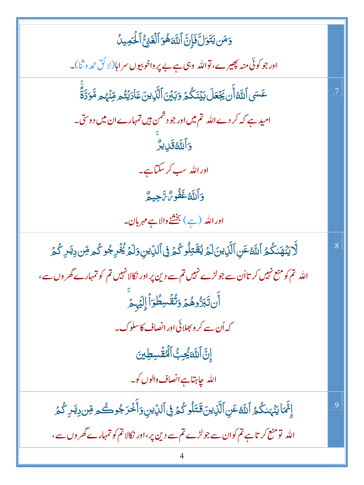$$
\frac{1}{2} \frac{1}{2} \frac{1}{2} \frac{1}{2} \frac{1}{2} \frac{1}{2} \frac{1}{2} \frac{1}{2} \frac{1}{2} \frac{1}{2} \frac{1}{2} \frac{1}{2} \frac{1}{2} \frac{1}{2} \frac{1}{2} \frac{1}{2} \frac{1}{2} \frac{1}{2} \frac{1}{2} \frac{1}{2} \frac{1}{2} \frac{1}{2} \frac{1}{2} \frac{1}{2} \frac{1}{2} \frac{1}{2} \frac{1}{2} \frac{1}{2} \frac{1}{2} \frac{1}{2} \frac{1}{2} \frac{1}{2} \frac{1}{2} \frac{1}{2} \frac{1}{2} \frac{1}{2} \frac{1}{2} \frac{1}{2} \frac{1}{2} \frac{1}{2} \frac{1}{2} \frac{1}{2} \frac{1}{2} \frac{1}{2} \frac{1}{2} \frac{1}{2} \frac{1}{2} \frac{1}{2} \frac{1}{2} \frac{1}{2} \frac{1}{2} \frac{1}{2} \frac{1}{2} \frac{1}{2} \frac{1}{2} \frac{1}{2} \frac{1}{2} \frac{1}{2} \frac{1}{2} \frac{1}{2} \frac{1}{2} \frac{1}{2} \frac{1}{2} \frac{1}{2} \frac{1}{2} \frac{1}{2} \frac{1}{2} \frac{1}{2} \frac{1}{2} \frac{1}{2} \frac{1}{2} \frac{1}{2} \frac{1}{2} \frac{1}{2} \frac{1}{2} \frac{1}{2} \frac{1}{2} \frac{1}{2} \frac{1}{2} \frac{1}{2} \frac{1}{2} \frac{1}{2} \frac{1}{2} \frac{1}{2} \frac{1}{2} \frac{1}{2} \frac{1}{2} \frac{1}{2} \frac{1}{2} \frac{1}{2} \frac{1}{2} \frac{1}{2} \frac{1}{2} \frac{1}{2} \frac{1}{2} \frac{1}{2} \frac{1}{2} \frac{1}{2} \frac{1}{2} \frac{1}{2} \frac{1}{2} \frac{1}{2} \frac{1}{2} \frac{1}{2} \frac{1}{2} \frac{1}{2} \frac{1}{2} \frac{1}{2} \frac{
$$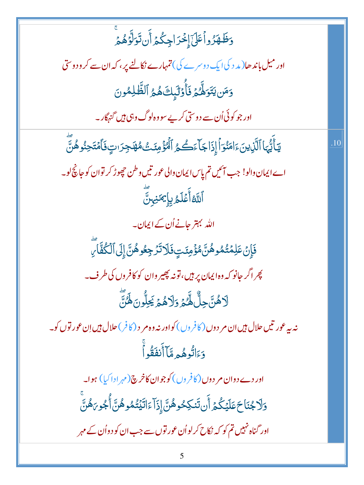| وَظَّهَرُواًعَلَىٰۤإِخْرَاجِكُمۡ أَن تَوَلَّوۡهُمۡ                                                                    |     |
|-----------------------------------------------------------------------------------------------------------------------|-----|
| اور میل باندھا( مد د کی ایک دوسرے کی) تمہارے نکالنے پر، کہ ان سے کر و دوستی                                           |     |
| وَمَن يَتَوَلِّكُمۡ فَأُوۡلَٰٓبِكَ هُمُ ٱلظَّٰلِمُونَ                                                                 |     |
| اور جو کوئی اُن سے دوستی کر پے سووہ لوگ وہی ہیں گنہگار۔                                                               |     |
| يٓٲٞێۢؠؘٵٱڷؘۜڶؚٳؾڹؘۦٙٳڡؘڹؙۏؚٲٝٳ۪ۮؘٳڿٲۦۧڪۛۿؚٱڷۘٷۢڡۣٸٙؿ۠ۿۿؘڂ۪ڗٮؾؚۣڣؘٲۿؾؘڂؚڹؙۅۿؙڹؖ                                       | .10 |
| اے ایمان دالو! جب آئیں تم پاِس ایمان دالی عور تیں وطن حچھوڑ کر توان کو جانچ لو۔                                       |     |
| ٱللَّهُ أَعۡلَمُ بِإِيمَنِينَّ                                                                                        |     |
| اللہ بہتر جانے اُن کے ایمان۔                                                                                          |     |
| ۏؘٳؚؚڹۡ عَلِمۡتُمُوهُنَّ؋ؗۘۏۢٙڡ <i>ۣٮٗ</i> ؾٟۥڣؘڶٳڐ <i>ڋڿڂ</i> ۘۅۿؙڹؓٳ۪ڸٙٱڷػ۠ڣٞٲ <i>ڔؖ</i>                            |     |
| پھر اگر حانو کہ وہ ایمان پر ہیں، تونہ پھیر وان کو کافروں کی طرف۔                                                      |     |
| ڶٲۿۨؾٞڿڷ۠ۿؖ۠ػ۠ؽٙۏؘڶٲۿؽؘڲؚڵ۠ۘۏڽؘڡ۬ۘٛ <i>ٛڷ</i> ؾؖۧ                                                                     |     |
| نه په عورتیں حلال <del>بی</del> ں ان مر دوں ( کافروں ) کواور نہ وہ مر د ( کافر ) حلال <del>بی</del> ں اِن عور توں کو۔ |     |
| .<br>وَءَانُوهُم <b>ِ</b> مَّاۤ أَنفَقُواْ                                                                            |     |
| اور دے دوان مر دوں ( کافروں ) کوجوان کاخرچ ( مہرادا کیا ) ہوا۔                                                        |     |
| <u>ۅ</u> ٙڶٳڿ۠ڹؘٳڂٖڡؘڶؿػ۠ۿ۩ؘ۠ڹؾؘڮڂۅۿ۠ڹؓٳ۪ۮؘؚٳٙٵٙڐؿٙؾ۠ڡ۠ۅۿ۠ڹؓٲ۠ٛڿۅ <i>ؠ</i> ۿؙڹۨؖ                                      |     |
| اور گناہ نہیں تم کو کہ نکاح کرلواُن عور توں سے جب ان کو دواُن کے مہر                                                  |     |
|                                                                                                                       |     |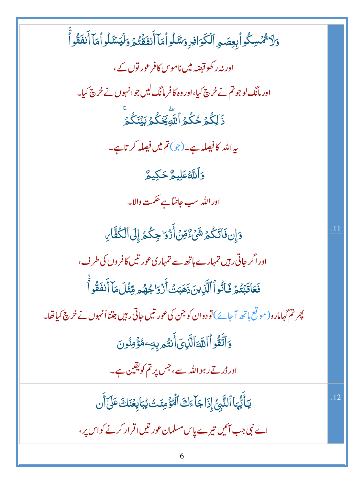| وَلَا ثُمِّسِكُواْبِعِصَمِ ٱلْكَوَافِرِ وَسَّلُواْ مَآ أَنفَقۡتُمۡ وَلۡيَسۡٓلُواۡ مَآ أَنفَقُوآْ |     |
|--------------------------------------------------------------------------------------------------|-----|
| اور نہ ر کھوقبضہ میں ناموس کافر عور توں کے ،                                                     |     |
| اور مانگ لوجو تم نے خرچ کیا،اور وہ کافر مانگ لیں جوانہوں نے خرچ کیا۔                             |     |
| ؚ<br>ۮٙ <sup>ٚٳ</sup> ڸػ۠ؽٙڂػۘۮؚ <sup>ٱ</sup> ڵڵۗؿؚۘڲؘػۢۮڹؽٙٮٞػۢۮ <sup>ٙ</sup>                   |     |
| ىيەاللە كافىھلە ہے۔(جو) <b>تم میں فیصلہ</b> كرتاہے۔                                              |     |
| <b>وَأَللَّهُ عَلِيمٌ حَكِيمٌ</b>                                                                |     |
| اور الله سب جانتاہے حکمت والا۔                                                                   |     |
| دَإِن فَاتَكُمۡ شَيۡءٌ مِّنۡ أَزۡ وَا جِكُمۡ إِلَى ٱلۡكُفَّارِ                                   | .11 |
| اور اگر جاتی رہیں تمہارے ہاتھ سے تمہاری عور تیں کافروں کی طرف،                                   |     |
| فَعَاقَبۡتُمۡ ثَالُّواۡ ٱلَّيۡاِينَ ذَهَبَتۡ أَزۡوَا جُهُم وِّئۡلَ مَاۤ أَنفَقُواْ               |     |
| پھِرتم گہامارو( مو قع ہاتھ آ جائے) تو دوان کو جن کی عور تیں جاتی رہیں جتنااُنہوں نے خرچ کیاتھا۔  |     |
| <u>و</u> َاتَّقُواۡ ٱللَّٰٓاءَٱلَّٰٓانِیؔاۡ أَنتُم بِهِۦمُؤۡمِنُونَ                              |     |
| اور ڈرتے رہواللہ سے، جس پرتم کویقین ہے۔                                                          |     |
| يَأَيُّهَا ٱلنَّبِنُّ إِذَا جَآءَكَ ٱلۡمُؤۡمِنَتُ يُبَاٰيِعۡنَكَ عَلَىٰٓأَن                      | .12 |
| اے نبی جب آئیں تیرے پاس مسلمان عور تیں اقرار کرنے کواس پر ،                                      |     |
| 6                                                                                                |     |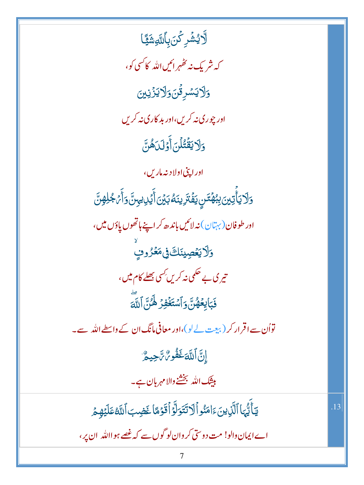ڷۜۯؽۺٞڔػ۬ڹؘۨۨۨۨڹٲڵڷۅۺؘؿٙٙٵ کہ شریک نہ ٹھہر ائیں اللہ کاکسی کو، <u>وَلايَ</u>سُرِقُنَ وَلَايَزَيْنِنَ اور چورې نه کریں،اور بد کاري نه کریں وَلَا يَقْتُلُنَ أَوْلَىٰهُنَّ اوراپٽي اولاد نه مارس، <u>ۅ</u>ٙڵٲۑؘٲۣؾڛ*ۣڹؚڹۿڐڹ*ؾڣٞڗ*ؘڔٙ*ڹڹڡ۠ڹؽڹٲؘؽڔؠؾ؈ٙٲؘ*ڋ*ڂۭڸۿۣڽؖ اور طوفان (به<sup>ن</sup>ان) نەلائىي <mark>باند</mark>ىھ كر اپنے ہاتھوں پاؤں میں ، <u>وَلَايَعۡصِينَكَ فِى</u>مَعۡرُوفِ تیر ک بے حکمی نہ کریں *کس*ی <u>بھلے</u> کام میں، فَبَايِعُهُنَّ وَٱسۡتَغۡفِرۡ هَٰٓنَ ٱللَّٰهَ تواُن سے اقرار کر (بیجت لے لو)،اور معافی مانگ ان کے واسطے اللہ سے۔ إِنَّ اللَّهَ غَفُو %شَجِيعٌ بیشک اللہ بخشنے والا مہربان ہے۔ يَأَيُّهَا ٱلَّذِينَءَامَنُواۡلَاتَتَوَلَّوۡاۡقَوۡمَٓاۡ غَضِبَ ٱللَّهُ عَلَيۡهِمۡ .13 اے ایمان دالو! مت دوستی کر وان لو گوں سے کہ غصے ہوااللہ ان پر ،

7